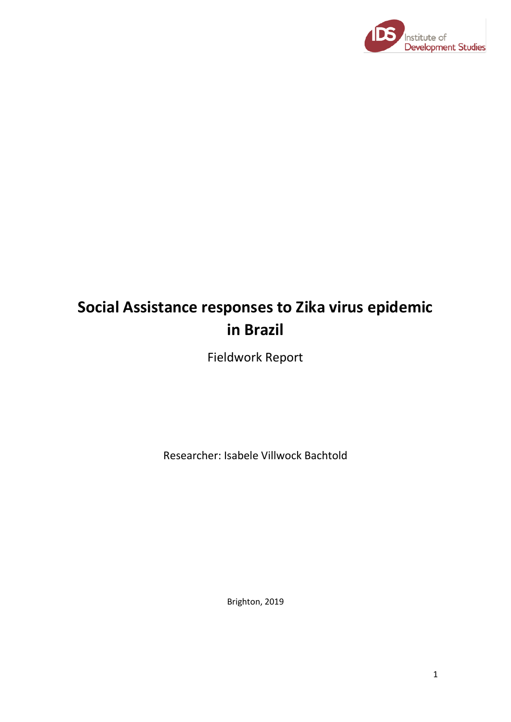

# **Social Assistance responses to Zika virus epidemic in Brazil**

Fieldwork Report

Researcher: Isabele Villwock Bachtold

Brighton, 2019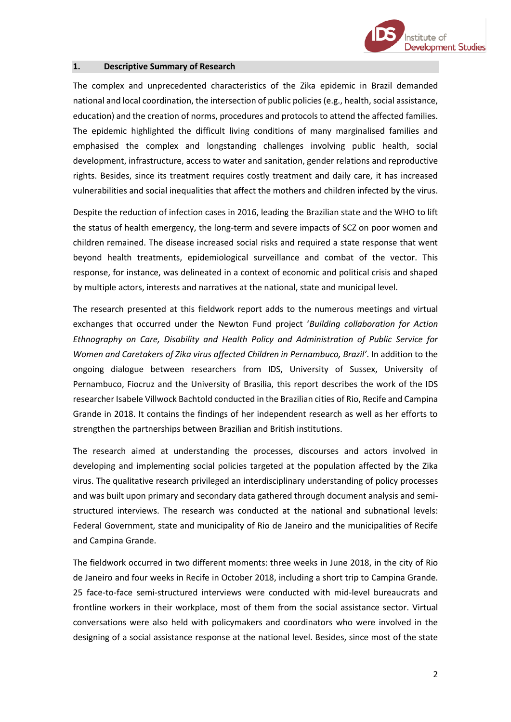

#### **1. Descriptive Summary of Research**

The complex and unprecedented characteristics of the Zika epidemic in Brazil demanded national and local coordination, the intersection of public policies (e.g., health, social assistance, education) and the creation of norms, procedures and protocols to attend the affected families. The epidemic highlighted the difficult living conditions of many marginalised families and emphasised the complex and longstanding challenges involving public health, social development, infrastructure, access to water and sanitation, gender relations and reproductive rights. Besides, since its treatment requires costly treatment and daily care, it has increased vulnerabilities and social inequalities that affect the mothers and children infected by the virus.

Despite the reduction of infection cases in 2016, leading the Brazilian state and the WHO to lift the status of health emergency, the long-term and severe impacts of SCZ on poor women and children remained. The disease increased social risks and required a state response that went beyond health treatments, epidemiological surveillance and combat of the vector. This response, for instance, was delineated in a context of economic and political crisis and shaped by multiple actors, interests and narratives at the national, state and municipal level.

The research presented at this fieldwork report adds to the numerous meetings and virtual exchanges that occurred under the Newton Fund project '*Building collaboration for Action Ethnography on Care, Disability and Health Policy and Administration of Public Service for Women and Caretakers of Zika virus affected Children in Pernambuco, Brazil'*. In addition to the ongoing dialogue between researchers from IDS, University of Sussex, University of Pernambuco, Fiocruz and the University of Brasilia, this report describes the work of the IDS researcher Isabele Villwock Bachtold conducted in the Brazilian cities of Rio, Recife and Campina Grande in 2018. It contains the findings of her independent research as well as her efforts to strengthen the partnerships between Brazilian and British institutions.

The research aimed at understanding the processes, discourses and actors involved in developing and implementing social policies targeted at the population affected by the Zika virus. The qualitative research privileged an interdisciplinary understanding of policy processes and was built upon primary and secondary data gathered through document analysis and semistructured interviews. The research was conducted at the national and subnational levels: Federal Government, state and municipality of Rio de Janeiro and the municipalities of Recife and Campina Grande.

The fieldwork occurred in two different moments: three weeks in June 2018, in the city of Rio de Janeiro and four weeks in Recife in October 2018, including a short trip to Campina Grande. 25 face-to-face semi-structured interviews were conducted with mid-level bureaucrats and frontline workers in their workplace, most of them from the social assistance sector. Virtual conversations were also held with policymakers and coordinators who were involved in the designing of a social assistance response at the national level. Besides, since most of the state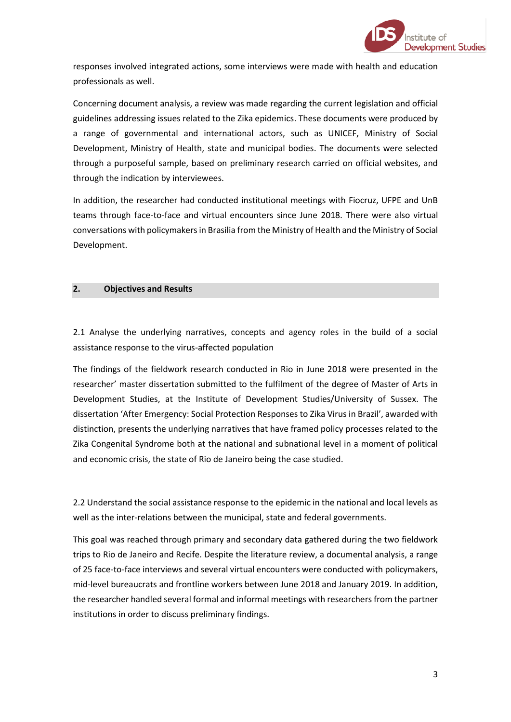

responses involved integrated actions, some interviews were made with health and education professionals as well.

Concerning document analysis, a review was made regarding the current legislation and official guidelines addressing issues related to the Zika epidemics. These documents were produced by a range of governmental and international actors, such as UNICEF, Ministry of Social Development, Ministry of Health, state and municipal bodies. The documents were selected through a purposeful sample, based on preliminary research carried on official websites, and through the indication by interviewees.

In addition, the researcher had conducted institutional meetings with Fiocruz, UFPE and UnB teams through face-to-face and virtual encounters since June 2018. There were also virtual conversations with policymakers in Brasilia from the Ministry of Health and the Ministry of Social Development.

# **2. Objectives and Results**

2.1 Analyse the underlying narratives, concepts and agency roles in the build of a social assistance response to the virus-affected population

The findings of the fieldwork research conducted in Rio in June 2018 were presented in the researcher' master dissertation submitted to the fulfilment of the degree of Master of Arts in Development Studies, at the Institute of Development Studies/University of Sussex. The dissertation 'After Emergency: Social Protection Responses to Zika Virus in Brazil', awarded with distinction, presents the underlying narratives that have framed policy processes related to the Zika Congenital Syndrome both at the national and subnational level in a moment of political and economic crisis, the state of Rio de Janeiro being the case studied.

2.2 Understand the social assistance response to the epidemic in the national and local levels as well as the inter-relations between the municipal, state and federal governments.

This goal was reached through primary and secondary data gathered during the two fieldwork trips to Rio de Janeiro and Recife. Despite the literature review, a documental analysis, a range of 25 face-to-face interviews and several virtual encounters were conducted with policymakers, mid-level bureaucrats and frontline workers between June 2018 and January 2019. In addition, the researcher handled several formal and informal meetings with researchers from the partner institutions in order to discuss preliminary findings.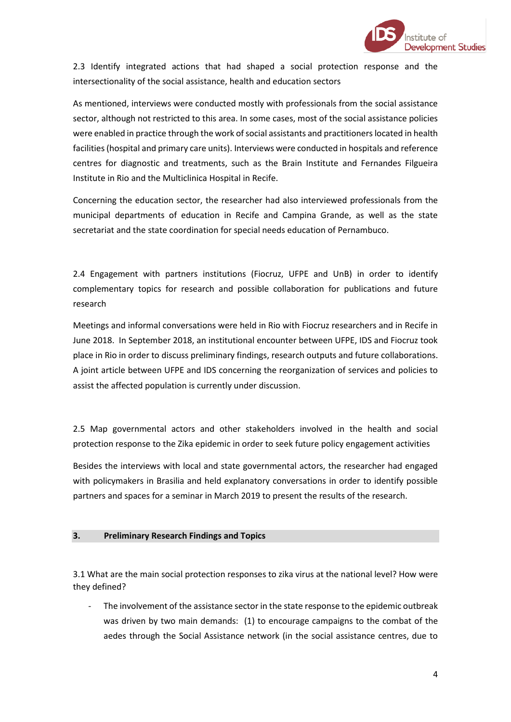

2.3 Identify integrated actions that had shaped a social protection response and the intersectionality of the social assistance, health and education sectors

As mentioned, interviews were conducted mostly with professionals from the social assistance sector, although not restricted to this area. In some cases, most of the social assistance policies were enabled in practice through the work of social assistants and practitioners located in health facilities (hospital and primary care units). Interviews were conducted in hospitals and reference centres for diagnostic and treatments, such as the Brain Institute and Fernandes Filgueira Institute in Rio and the Multiclinica Hospital in Recife.

Concerning the education sector, the researcher had also interviewed professionals from the municipal departments of education in Recife and Campina Grande, as well as the state secretariat and the state coordination for special needs education of Pernambuco.

2.4 Engagement with partners institutions (Fiocruz, UFPE and UnB) in order to identify complementary topics for research and possible collaboration for publications and future research

Meetings and informal conversations were held in Rio with Fiocruz researchers and in Recife in June 2018. In September 2018, an institutional encounter between UFPE, IDS and Fiocruz took place in Rio in order to discuss preliminary findings, research outputs and future collaborations. A joint article between UFPE and IDS concerning the reorganization of services and policies to assist the affected population is currently under discussion.

2.5 Map governmental actors and other stakeholders involved in the health and social protection response to the Zika epidemic in order to seek future policy engagement activities

Besides the interviews with local and state governmental actors, the researcher had engaged with policymakers in Brasilia and held explanatory conversations in order to identify possible partners and spaces for a seminar in March 2019 to present the results of the research.

# **3. Preliminary Research Findings and Topics**

3.1 What are the main social protection responses to zika virus at the national level? How were they defined?

The involvement of the assistance sector in the state response to the epidemic outbreak was driven by two main demands: (1) to encourage campaigns to the combat of the aedes through the Social Assistance network (in the social assistance centres, due to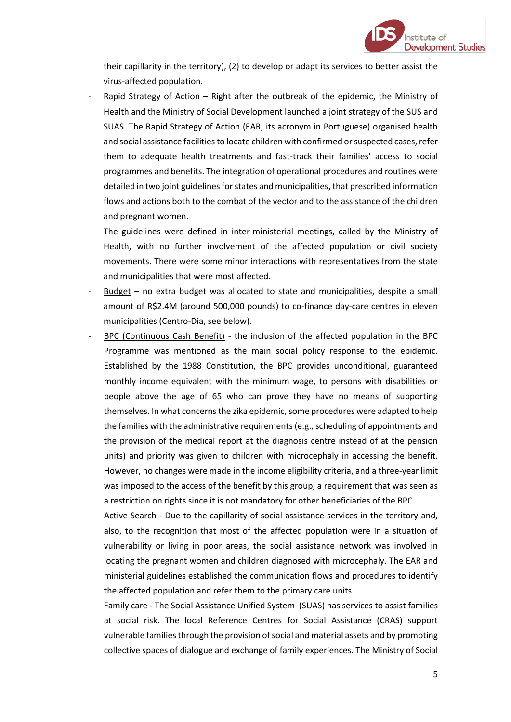

their capillarity in the territory), (2) to develop or adapt its services to better assist the virus-affected population.

- Rapid Strategy of Action Right after the outbreak of the epidemic, the Ministry of Health and the Ministry of Social Development launched a joint strategy of the SUS and SUAS. The Rapid Strategy of Action (EAR, its acronym in Portuguese) organised health and social assistance facilities to locate children with confirmed or suspected cases, refer them to adequate health treatments and fast-track their families' access to social programmes and benefits. The integration of operational procedures and routines were detailed in two joint guidelines for states and municipalities, that prescribed information flows and actions both to the combat of the vector and to the assistance of the children and pregnant women.
- The guidelines were defined in inter-ministerial meetings, called by the Ministry of Health, with no further involvement of the affected population or civil society movements. There were some minor interactions with representatives from the state and municipalities that were most affected.
- Budget no extra budget was allocated to state and municipalities, despite a small amount of R\$2.4M (around 500,000 pounds) to co-finance day-care centres in eleven municipalities (Centro-Dia, see below).
- BPC (Continuous Cash Benefit) the inclusion of the affected population in the BPC Programme was mentioned as the main social policy response to the epidemic. Established by the 1988 Constitution, the BPC provides unconditional, guaranteed monthly income equivalent with the minimum wage, to persons with disabilities or people above the age of 65 who can prove they have no means of supporting themselves. In what concerns the zika epidemic, some procedures were adapted to help the families with the administrative requirements (e.g., scheduling of appointments and the provision of the medical report at the diagnosis centre instead of at the pension units) and priority was given to children with microcephaly in accessing the benefit. However, no changes were made in the income eligibility criteria, and a three-year limit was imposed to the access of the benefit by this group, a requirement that was seen as a restriction on rights since it is not mandatory for other beneficiaries of the BPC.
- Active Search Due to the capillarity of social assistance services in the territory and, also, to the recognition that most of the affected population were in a situation of vulnerability or living in poor areas, the social assistance network was involved in locating the pregnant women and children diagnosed with microcephaly. The EAR and ministerial guidelines established the communication flows and procedures to identify the affected population and refer them to the primary care units.
- Family care **-** The Social Assistance Unified System (SUAS) has services to assist families at social risk. The local Reference Centres for Social Assistance (CRAS) support vulnerable families through the provision of social and material assets and by promoting collective spaces of dialogue and exchange of family experiences. The Ministry of Social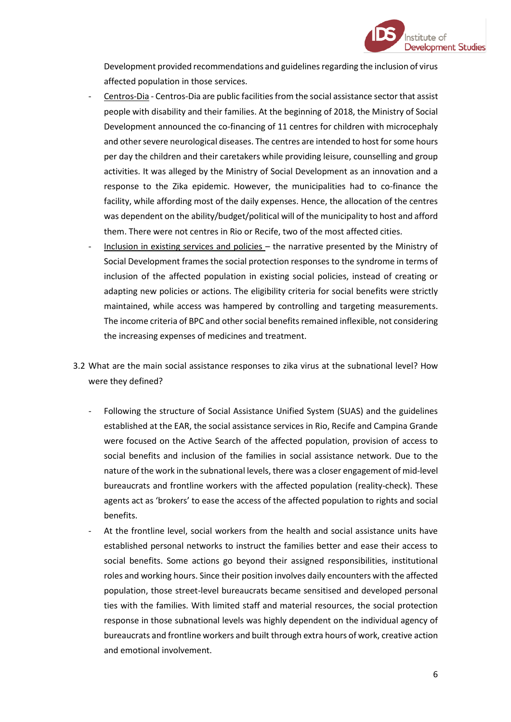

Development provided recommendations and guidelines regarding the inclusion of virus affected population in those services.

- Centros-Dia Centros-Dia are public facilities from the social assistance sector that assist people with disability and their families. At the beginning of 2018, the Ministry of Social Development announced the co-financing of 11 centres for children with microcephaly and other severe neurological diseases. The centres are intended to host for some hours per day the children and their caretakers while providing leisure, counselling and group activities. It was alleged by the Ministry of Social Development as an innovation and a response to the Zika epidemic. However, the municipalities had to co-finance the facility, while affording most of the daily expenses. Hence, the allocation of the centres was dependent on the ability/budget/political will of the municipality to host and afford them. There were not centres in Rio or Recife, two of the most affected cities.
- Inclusion in existing services and policies the narrative presented by the Ministry of Social Development frames the social protection responses to the syndrome in terms of inclusion of the affected population in existing social policies, instead of creating or adapting new policies or actions. The eligibility criteria for social benefits were strictly maintained, while access was hampered by controlling and targeting measurements. The income criteria of BPC and other social benefits remained inflexible, not considering the increasing expenses of medicines and treatment.
- 3.2 What are the main social assistance responses to zika virus at the subnational level? How were they defined?
	- Following the structure of Social Assistance Unified System (SUAS) and the guidelines established at the EAR, the social assistance services in Rio, Recife and Campina Grande were focused on the Active Search of the affected population, provision of access to social benefits and inclusion of the families in social assistance network. Due to the nature of the work in the subnational levels, there was a closer engagement of mid-level bureaucrats and frontline workers with the affected population (reality-check). These agents act as 'brokers' to ease the access of the affected population to rights and social benefits.
	- At the frontline level, social workers from the health and social assistance units have established personal networks to instruct the families better and ease their access to social benefits. Some actions go beyond their assigned responsibilities, institutional roles and working hours. Since their position involves daily encounters with the affected population, those street-level bureaucrats became sensitised and developed personal ties with the families. With limited staff and material resources, the social protection response in those subnational levels was highly dependent on the individual agency of bureaucrats and frontline workers and built through extra hours of work, creative action and emotional involvement.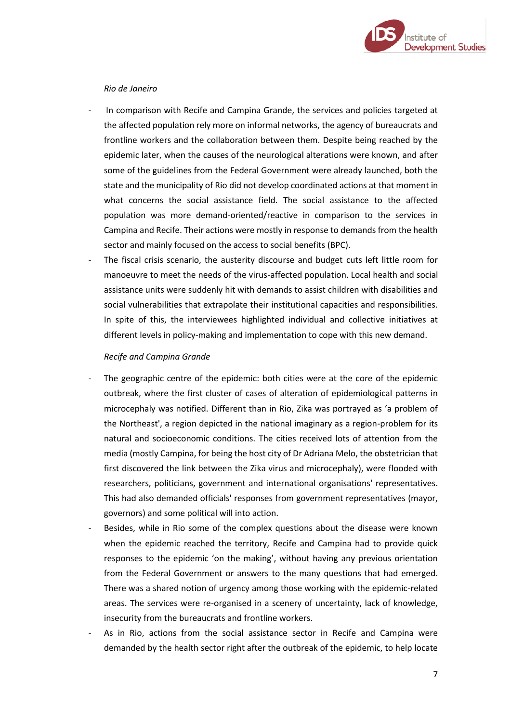

### *Rio de Janeiro*

- In comparison with Recife and Campina Grande, the services and policies targeted at the affected population rely more on informal networks, the agency of bureaucrats and frontline workers and the collaboration between them. Despite being reached by the epidemic later, when the causes of the neurological alterations were known, and after some of the guidelines from the Federal Government were already launched, both the state and the municipality of Rio did not develop coordinated actions at that moment in what concerns the social assistance field. The social assistance to the affected population was more demand-oriented/reactive in comparison to the services in Campina and Recife. Their actions were mostly in response to demands from the health sector and mainly focused on the access to social benefits (BPC).
- The fiscal crisis scenario, the austerity discourse and budget cuts left little room for manoeuvre to meet the needs of the virus-affected population. Local health and social assistance units were suddenly hit with demands to assist children with disabilities and social vulnerabilities that extrapolate their institutional capacities and responsibilities. In spite of this, the interviewees highlighted individual and collective initiatives at different levels in policy-making and implementation to cope with this new demand.

#### *Recife and Campina Grande*

- The geographic centre of the epidemic: both cities were at the core of the epidemic outbreak, where the first cluster of cases of alteration of epidemiological patterns in microcephaly was notified. Different than in Rio, Zika was portrayed as 'a problem of the Northeast', a region depicted in the national imaginary as a region-problem for its natural and socioeconomic conditions. The cities received lots of attention from the media (mostly Campina, for being the host city of Dr Adriana Melo, the obstetrician that first discovered the link between the Zika virus and microcephaly), were flooded with researchers, politicians, government and international organisations' representatives. This had also demanded officials' responses from government representatives (mayor, governors) and some political will into action.
- Besides, while in Rio some of the complex questions about the disease were known when the epidemic reached the territory, Recife and Campina had to provide quick responses to the epidemic 'on the making', without having any previous orientation from the Federal Government or answers to the many questions that had emerged. There was a shared notion of urgency among those working with the epidemic-related areas. The services were re-organised in a scenery of uncertainty, lack of knowledge, insecurity from the bureaucrats and frontline workers.
- As in Rio, actions from the social assistance sector in Recife and Campina were demanded by the health sector right after the outbreak of the epidemic, to help locate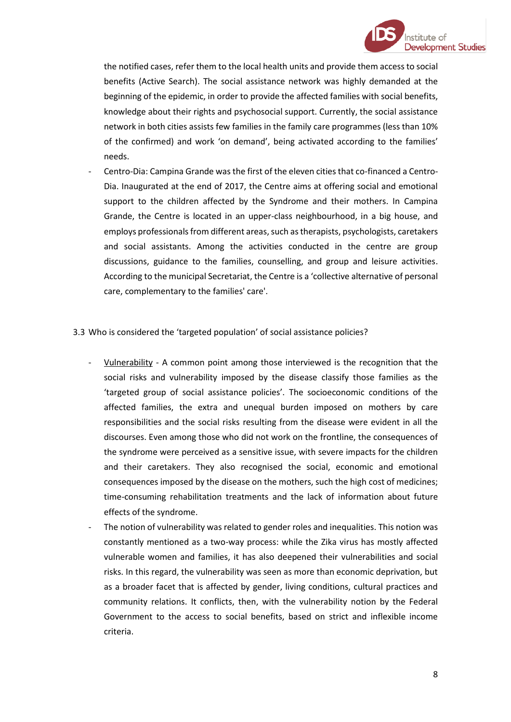

the notified cases, refer them to the local health units and provide them access to social benefits (Active Search). The social assistance network was highly demanded at the beginning of the epidemic, in order to provide the affected families with social benefits, knowledge about their rights and psychosocial support. Currently, the social assistance network in both cities assists few families in the family care programmes (less than 10% of the confirmed) and work 'on demand', being activated according to the families' needs.

- Centro-Dia: Campina Grande was the first of the eleven cities that co-financed a Centro-Dia. Inaugurated at the end of 2017, the Centre aims at offering social and emotional support to the children affected by the Syndrome and their mothers. In Campina Grande, the Centre is located in an upper-class neighbourhood, in a big house, and employs professionals from different areas, such as therapists, psychologists, caretakers and social assistants. Among the activities conducted in the centre are group discussions, guidance to the families, counselling, and group and leisure activities. According to the municipal Secretariat, the Centre is a 'collective alternative of personal care, complementary to the families' care'.

# 3.3 Who is considered the 'targeted population' of social assistance policies?

- Vulnerability A common point among those interviewed is the recognition that the social risks and vulnerability imposed by the disease classify those families as the 'targeted group of social assistance policies'. The socioeconomic conditions of the affected families, the extra and unequal burden imposed on mothers by care responsibilities and the social risks resulting from the disease were evident in all the discourses. Even among those who did not work on the frontline, the consequences of the syndrome were perceived as a sensitive issue, with severe impacts for the children and their caretakers. They also recognised the social, economic and emotional consequences imposed by the disease on the mothers, such the high cost of medicines; time-consuming rehabilitation treatments and the lack of information about future effects of the syndrome.
- The notion of vulnerability was related to gender roles and inequalities. This notion was constantly mentioned as a two-way process: while the Zika virus has mostly affected vulnerable women and families, it has also deepened their vulnerabilities and social risks. In this regard, the vulnerability was seen as more than economic deprivation, but as a broader facet that is affected by gender, living conditions, cultural practices and community relations. It conflicts, then, with the vulnerability notion by the Federal Government to the access to social benefits, based on strict and inflexible income criteria.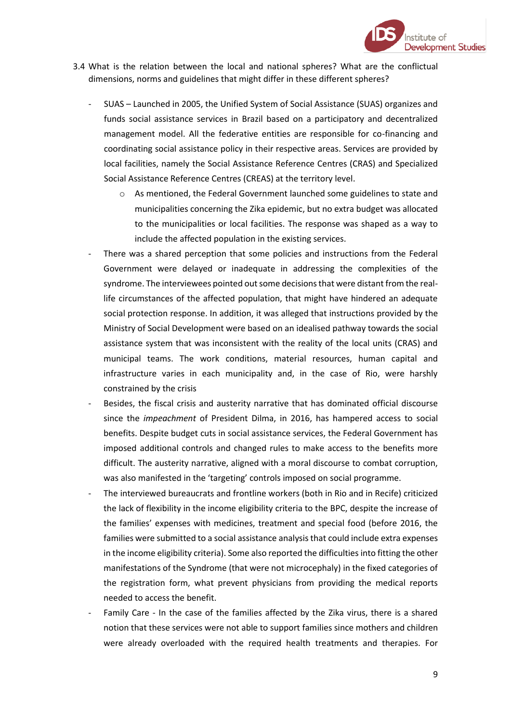

- 3.4 What is the relation between the local and national spheres? What are the conflictual dimensions, norms and guidelines that might differ in these different spheres?
	- SUAS Launched in 2005, the Unified System of Social Assistance (SUAS) organizes and funds social assistance services in Brazil based on a participatory and decentralized management model. All the federative entities are responsible for co-financing and coordinating social assistance policy in their respective areas. Services are provided by local facilities, namely the Social Assistance Reference Centres (CRAS) and Specialized Social Assistance Reference Centres (CREAS) at the territory level.
		- o As mentioned, the Federal Government launched some guidelines to state and municipalities concerning the Zika epidemic, but no extra budget was allocated to the municipalities or local facilities. The response was shaped as a way to include the affected population in the existing services.
	- There was a shared perception that some policies and instructions from the Federal Government were delayed or inadequate in addressing the complexities of the syndrome. The interviewees pointed out some decisions that were distant from the reallife circumstances of the affected population, that might have hindered an adequate social protection response. In addition, it was alleged that instructions provided by the Ministry of Social Development were based on an idealised pathway towards the social assistance system that was inconsistent with the reality of the local units (CRAS) and municipal teams. The work conditions, material resources, human capital and infrastructure varies in each municipality and, in the case of Rio, were harshly constrained by the crisis
	- Besides, the fiscal crisis and austerity narrative that has dominated official discourse since the *impeachment* of President Dilma, in 2016, has hampered access to social benefits. Despite budget cuts in social assistance services, the Federal Government has imposed additional controls and changed rules to make access to the benefits more difficult. The austerity narrative, aligned with a moral discourse to combat corruption, was also manifested in the 'targeting' controls imposed on social programme.
	- The interviewed bureaucrats and frontline workers (both in Rio and in Recife) criticized the lack of flexibility in the income eligibility criteria to the BPC, despite the increase of the families' expenses with medicines, treatment and special food (before 2016, the families were submitted to a social assistance analysis that could include extra expenses in the income eligibility criteria). Some also reported the difficulties into fitting the other manifestations of the Syndrome (that were not microcephaly) in the fixed categories of the registration form, what prevent physicians from providing the medical reports needed to access the benefit.
	- Family Care In the case of the families affected by the Zika virus, there is a shared notion that these services were not able to support families since mothers and children were already overloaded with the required health treatments and therapies. For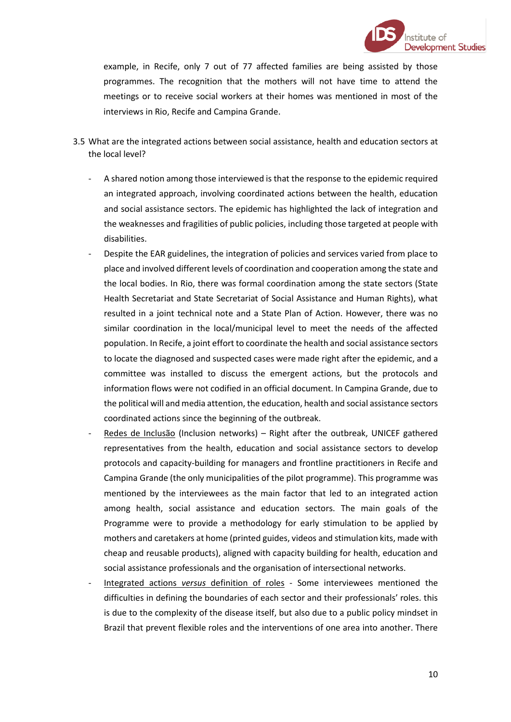

example, in Recife, only 7 out of 77 affected families are being assisted by those programmes. The recognition that the mothers will not have time to attend the meetings or to receive social workers at their homes was mentioned in most of the interviews in Rio, Recife and Campina Grande.

- 3.5 What are the integrated actions between social assistance, health and education sectors at the local level?
	- A shared notion among those interviewed is that the response to the epidemic required an integrated approach, involving coordinated actions between the health, education and social assistance sectors. The epidemic has highlighted the lack of integration and the weaknesses and fragilities of public policies, including those targeted at people with disabilities.
	- Despite the EAR guidelines, the integration of policies and services varied from place to place and involved different levels of coordination and cooperation among the state and the local bodies. In Rio, there was formal coordination among the state sectors (State Health Secretariat and State Secretariat of Social Assistance and Human Rights), what resulted in a joint technical note and a State Plan of Action. However, there was no similar coordination in the local/municipal level to meet the needs of the affected population. In Recife, a joint effort to coordinate the health and social assistance sectors to locate the diagnosed and suspected cases were made right after the epidemic, and a committee was installed to discuss the emergent actions, but the protocols and information flows were not codified in an official document. In Campina Grande, due to the political will and media attention, the education, health and social assistance sectors coordinated actions since the beginning of the outbreak.
	- Redes de Inclusão (Inclusion networks) Right after the outbreak, UNICEF gathered representatives from the health, education and social assistance sectors to develop protocols and capacity-building for managers and frontline practitioners in Recife and Campina Grande (the only municipalities of the pilot programme). This programme was mentioned by the interviewees as the main factor that led to an integrated action among health, social assistance and education sectors. The main goals of the Programme were to provide a methodology for early stimulation to be applied by mothers and caretakers at home (printed guides, videos and stimulation kits, made with cheap and reusable products), aligned with capacity building for health, education and social assistance professionals and the organisation of intersectional networks.
	- Integrated actions *versus* definition of roles Some interviewees mentioned the difficulties in defining the boundaries of each sector and their professionals' roles. this is due to the complexity of the disease itself, but also due to a public policy mindset in Brazil that prevent flexible roles and the interventions of one area into another. There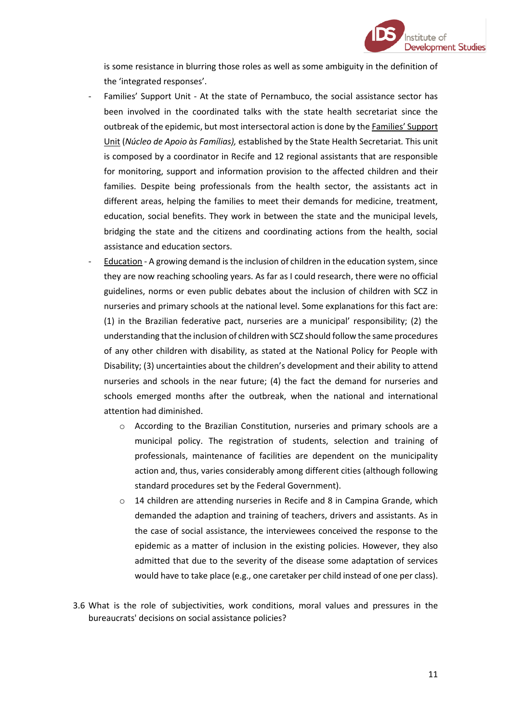

is some resistance in blurring those roles as well as some ambiguity in the definition of the 'integrated responses'.

- Families' Support Unit At the state of Pernambuco, the social assistance sector has been involved in the coordinated talks with the state health secretariat since the outbreak of the epidemic, but most intersectoral action is done by the Families' Support Unit (*Núcleo de Apoio às Famílias),* established by the State Health Secretariat*.* This unit is composed by a coordinator in Recife and 12 regional assistants that are responsible for monitoring, support and information provision to the affected children and their families. Despite being professionals from the health sector, the assistants act in different areas, helping the families to meet their demands for medicine, treatment, education, social benefits. They work in between the state and the municipal levels, bridging the state and the citizens and coordinating actions from the health, social assistance and education sectors.
- Education A growing demand is the inclusion of children in the education system, since they are now reaching schooling years. As far as I could research, there were no official guidelines, norms or even public debates about the inclusion of children with SCZ in nurseries and primary schools at the national level. Some explanations for this fact are: (1) in the Brazilian federative pact, nurseries are a municipal' responsibility; (2) the understanding that the inclusion of children with SCZ should follow the same procedures of any other children with disability, as stated at the National Policy for People with Disability; (3) uncertainties about the children's development and their ability to attend nurseries and schools in the near future; (4) the fact the demand for nurseries and schools emerged months after the outbreak, when the national and international attention had diminished.
	- o According to the Brazilian Constitution, nurseries and primary schools are a municipal policy. The registration of students, selection and training of professionals, maintenance of facilities are dependent on the municipality action and, thus, varies considerably among different cities (although following standard procedures set by the Federal Government).
	- o 14 children are attending nurseries in Recife and 8 in Campina Grande, which demanded the adaption and training of teachers, drivers and assistants. As in the case of social assistance, the interviewees conceived the response to the epidemic as a matter of inclusion in the existing policies. However, they also admitted that due to the severity of the disease some adaptation of services would have to take place (e.g., one caretaker per child instead of one per class).
- 3.6 What is the role of subjectivities, work conditions, moral values and pressures in the bureaucrats' decisions on social assistance policies?